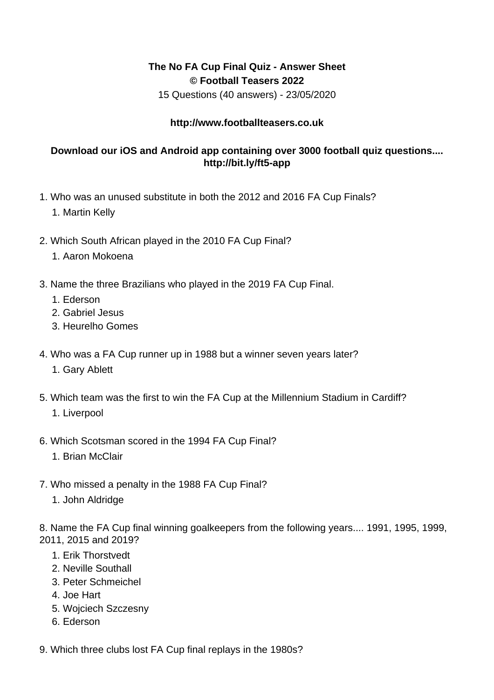## **The No FA Cup Final Quiz - Answer Sheet © Football Teasers 2022**

15 Questions (40 answers) - 23/05/2020

## **http://www.footballteasers.co.uk**

## **Download our iOS and Android app containing over 3000 football quiz questions.... http://bit.ly/ft5-app**

- 1. Who was an unused substitute in both the 2012 and 2016 FA Cup Finals?
	- 1. Martin Kelly
- 2. Which South African played in the 2010 FA Cup Final?
	- 1. Aaron Mokoena
- 3. Name the three Brazilians who played in the 2019 FA Cup Final.
	- 1. Ederson
	- 2. Gabriel Jesus
	- 3. Heurelho Gomes
- 4. Who was a FA Cup runner up in 1988 but a winner seven years later?
	- 1. Gary Ablett
- 5. Which team was the first to win the FA Cup at the Millennium Stadium in Cardiff? 1. Liverpool
	-
- 6. Which Scotsman scored in the 1994 FA Cup Final?
	- 1. Brian McClair
- 7. Who missed a penalty in the 1988 FA Cup Final?
	- 1. John Aldridge

8. Name the FA Cup final winning goalkeepers from the following years.... 1991, 1995, 1999, 2011, 2015 and 2019?

- 1. Erik Thorstvedt
- 2. Neville Southall
- 3. Peter Schmeichel
- 4. Joe Hart
- 5. Wojciech Szczesny
- 6. Ederson
- 9. Which three clubs lost FA Cup final replays in the 1980s?